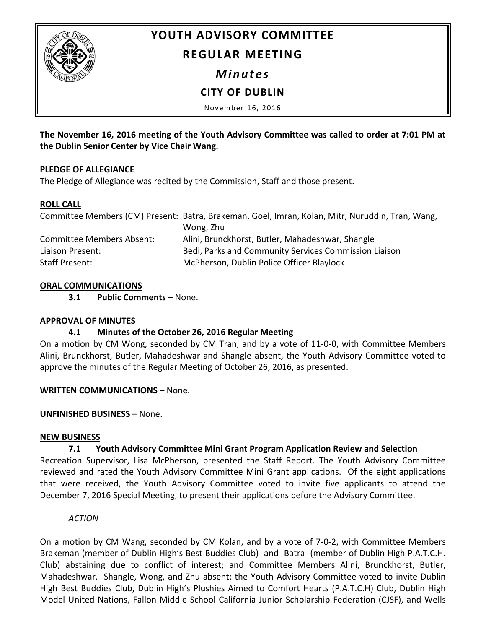

# **YOUTH ADVISORY COMMITTEE**

# **REGULAR MEETING**

## *Minutes*

# **CITY OF DUBLIN**

November 16, 2016

**The November 16, 2016 meeting of the Youth Advisory Committee was called to order at 7:01 PM at the Dublin Senior Center by Vice Chair Wang.**

#### **PLEDGE OF ALLEGIANCE**

The Pledge of Allegiance was recited by the Commission, Staff and those present.

#### **ROLL CALL**

|                                  | Committee Members (CM) Present: Batra, Brakeman, Goel, Imran, Kolan, Mitr, Nuruddin, Tran, Wang, |
|----------------------------------|--------------------------------------------------------------------------------------------------|
|                                  | Wong, Zhu                                                                                        |
| <b>Committee Members Absent:</b> | Alini, Brunckhorst, Butler, Mahadeshwar, Shangle                                                 |
| Liaison Present:                 | Bedi, Parks and Community Services Commission Liaison                                            |
| Staff Present:                   | McPherson, Dublin Police Officer Blaylock                                                        |

### **ORAL COMMUNICATIONS**

**3.1 Public Comments** – None.

#### **APPROVAL OF MINUTES**

#### **4.1 Minutes of the October 26, 2016 Regular Meeting**

On a motion by CM Wong, seconded by CM Tran, and by a vote of 11-0-0, with Committee Members Alini, Brunckhorst, Butler, Mahadeshwar and Shangle absent, the Youth Advisory Committee voted to approve the minutes of the Regular Meeting of October 26, 2016, as presented.

#### **WRITTEN COMMUNICATIONS** – None.

#### **UNFINISHED BUSINESS** – None.

#### **NEW BUSINESS**

#### **7.1 Youth Advisory Committee Mini Grant Program Application Review and Selection**

Recreation Supervisor, Lisa McPherson, presented the Staff Report. The Youth Advisory Committee reviewed and rated the Youth Advisory Committee Mini Grant applications. Of the eight applications that were received, the Youth Advisory Committee voted to invite five applicants to attend the December 7, 2016 Special Meeting, to present their applications before the Advisory Committee.

#### *ACTION*

On a motion by CM Wang, seconded by CM Kolan, and by a vote of 7-0-2, with Committee Members Brakeman (member of Dublin High's Best Buddies Club) and Batra (member of Dublin High P.A.T.C.H. Club) abstaining due to conflict of interest; and Committee Members Alini, Brunckhorst, Butler, Mahadeshwar, Shangle, Wong, and Zhu absent; the Youth Advisory Committee voted to invite Dublin High Best Buddies Club, Dublin High's Plushies Aimed to Comfort Hearts (P.A.T.C.H) Club, Dublin High Model United Nations, Fallon Middle School California Junior Scholarship Federation (CJSF), and Wells